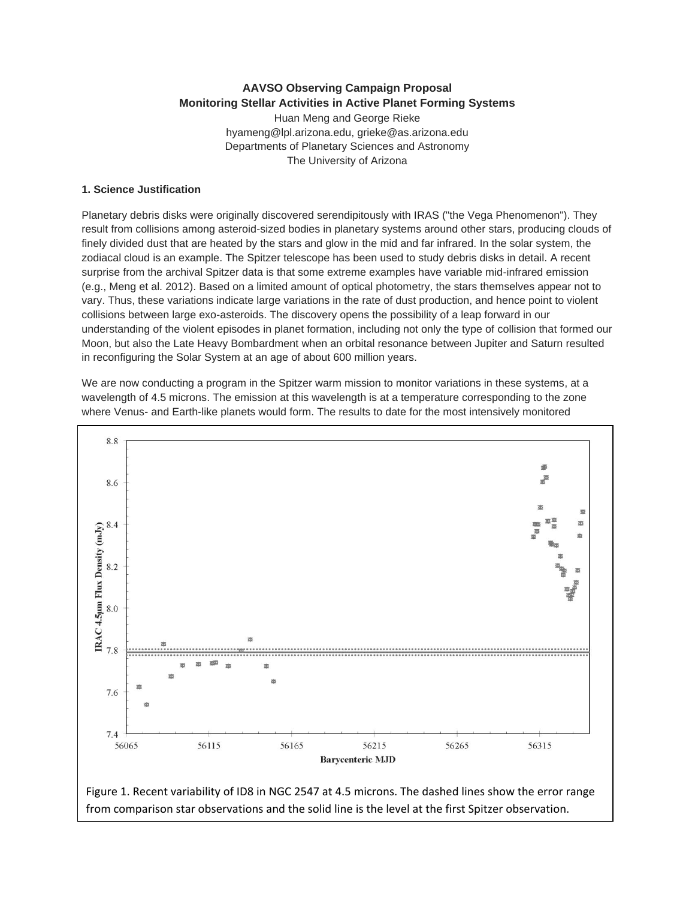# **AAVSO Observing Campaign Proposal Monitoring Stellar Activities in Active Planet Forming Systems**

Huan Meng and George Rieke hyameng@lpl.arizona.edu, grieke@as.arizona.edu Departments of Planetary Sciences and Astronomy The University of Arizona

### **1. Science Justification**

Planetary debris disks were originally discovered serendipitously with IRAS ("the Vega Phenomenon"). They result from collisions among asteroid-sized bodies in planetary systems around other stars, producing clouds of finely divided dust that are heated by the stars and glow in the mid and far infrared. In the solar system, the zodiacal cloud is an example. The Spitzer telescope has been used to study debris disks in detail. A recent surprise from the archival Spitzer data is that some extreme examples have variable mid-infrared emission (e.g., Meng et al. 2012). Based on a limited amount of optical photometry, the stars themselves appear not to vary. Thus, these variations indicate large variations in the rate of dust production, and hence point to violent collisions between large exo-asteroids. The discovery opens the possibility of a leap forward in our understanding of the violent episodes in planet formation, including not only the type of collision that formed our Moon, but also the Late Heavy Bombardment when an orbital resonance between Jupiter and Saturn resulted in reconfiguring the Solar System at an age of about 600 million years.

We are now conducting a program in the Spitzer warm mission to monitor variations in these systems, at a wavelength of 4.5 microns. The emission at this wavelength is at a temperature corresponding to the zone where Venus- and Earth-like planets would form. The results to date for the most intensively monitored

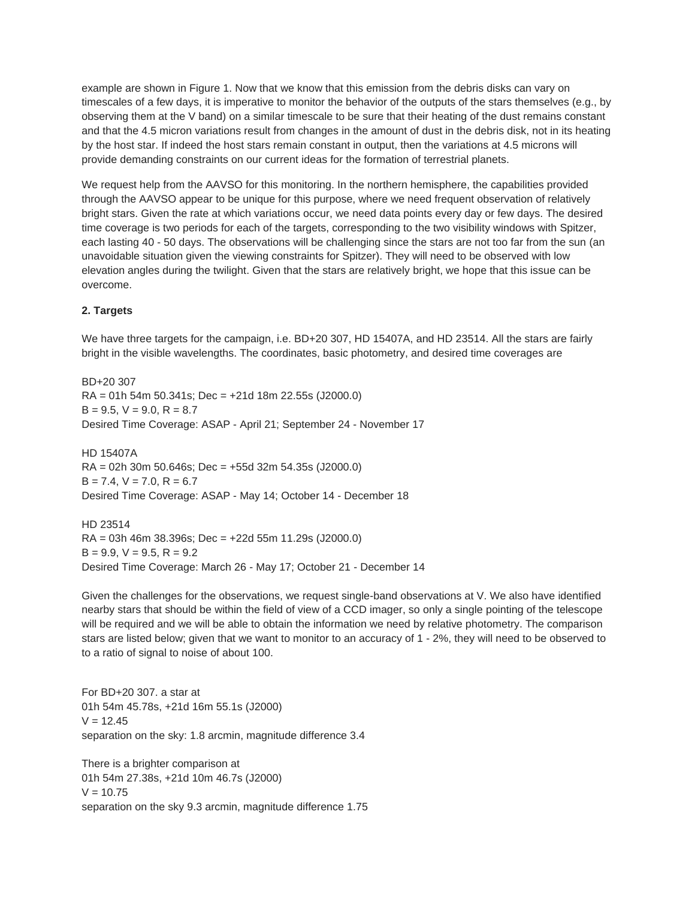example are shown in Figure 1. Now that we know that this emission from the debris disks can vary on timescales of a few days, it is imperative to monitor the behavior of the outputs of the stars themselves (e.g., by observing them at the V band) on a similar timescale to be sure that their heating of the dust remains constant and that the 4.5 micron variations result from changes in the amount of dust in the debris disk, not in its heating by the host star. If indeed the host stars remain constant in output, then the variations at 4.5 microns will provide demanding constraints on our current ideas for the formation of terrestrial planets.

We request help from the AAVSO for this monitoring. In the northern hemisphere, the capabilities provided through the AAVSO appear to be unique for this purpose, where we need frequent observation of relatively bright stars. Given the rate at which variations occur, we need data points every day or few days. The desired time coverage is two periods for each of the targets, corresponding to the two visibility windows with Spitzer, each lasting 40 - 50 days. The observations will be challenging since the stars are not too far from the sun (an unavoidable situation given the viewing constraints for Spitzer). They will need to be observed with low elevation angles during the twilight. Given that the stars are relatively bright, we hope that this issue can be overcome.

## **2. Targets**

We have three targets for the campaign, i.e. BD+20 307, HD 15407A, and HD 23514. All the stars are fairly bright in the visible wavelengths. The coordinates, basic photometry, and desired time coverages are

BD+20 307 RA = 01h 54m 50.341s; Dec = +21d 18m 22.55s (J2000.0)  $B = 9.5$ ,  $V = 9.0$ ,  $R = 8.7$ Desired Time Coverage: ASAP - April 21; September 24 - November 17

HD 15407A  $RA = 02h$  30m 50.646s; Dec =  $+55d$  32m 54.35s (J2000.0)  $B = 7.4$ ,  $V = 7.0$ ,  $R = 6.7$ Desired Time Coverage: ASAP - May 14; October 14 - December 18

HD 23514 RA = 03h 46m 38.396s; Dec = +22d 55m 11.29s (J2000.0)  $B = 9.9$ ,  $V = 9.5$ ,  $R = 9.2$ Desired Time Coverage: March 26 - May 17; October 21 - December 14

Given the challenges for the observations, we request single-band observations at V. We also have identified nearby stars that should be within the field of view of a CCD imager, so only a single pointing of the telescope will be required and we will be able to obtain the information we need by relative photometry. The comparison stars are listed below; given that we want to monitor to an accuracy of 1 - 2%, they will need to be observed to to a ratio of signal to noise of about 100.

For BD+20 307. a star at 01h 54m 45.78s, +21d 16m 55.1s (J2000)  $V = 12.45$ separation on the sky: 1.8 arcmin, magnitude difference 3.4

There is a brighter comparison at 01h 54m 27.38s, +21d 10m 46.7s (J2000)  $V = 10.75$ separation on the sky 9.3 arcmin, magnitude difference 1.75